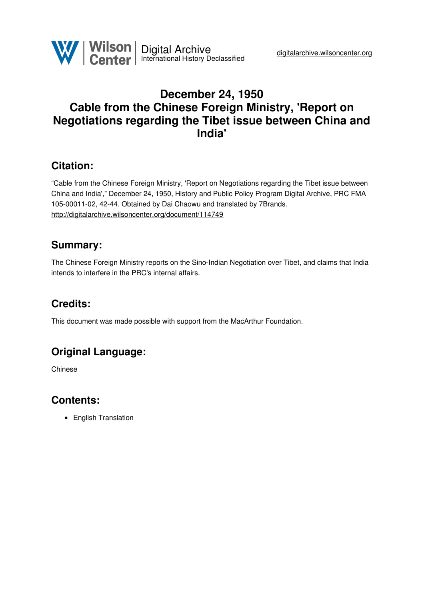

# **December 24, 1950 Cable from the Chinese Foreign Ministry, 'Report on Negotiations regarding the Tibet issue between China and India'**

## **Citation:**

"Cable from the Chinese Foreign Ministry, 'Report on Negotiations regarding the Tibet issue between China and India'," December 24, 1950, History and Public Policy Program Digital Archive, PRC FMA 105-00011-02, 42-44. Obtained by Dai Chaowu and translated by 7Brands. <http://digitalarchive.wilsoncenter.org/document/114749>

## **Summary:**

The Chinese Foreign Ministry reports on the Sino-Indian Negotiation over Tibet, and claims that India intends to interfere in the PRC's internal affairs.

# **Credits:**

This document was made possible with support from the MacArthur Foundation.

# **Original Language:**

Chinese

### **Contents:**

• English Translation